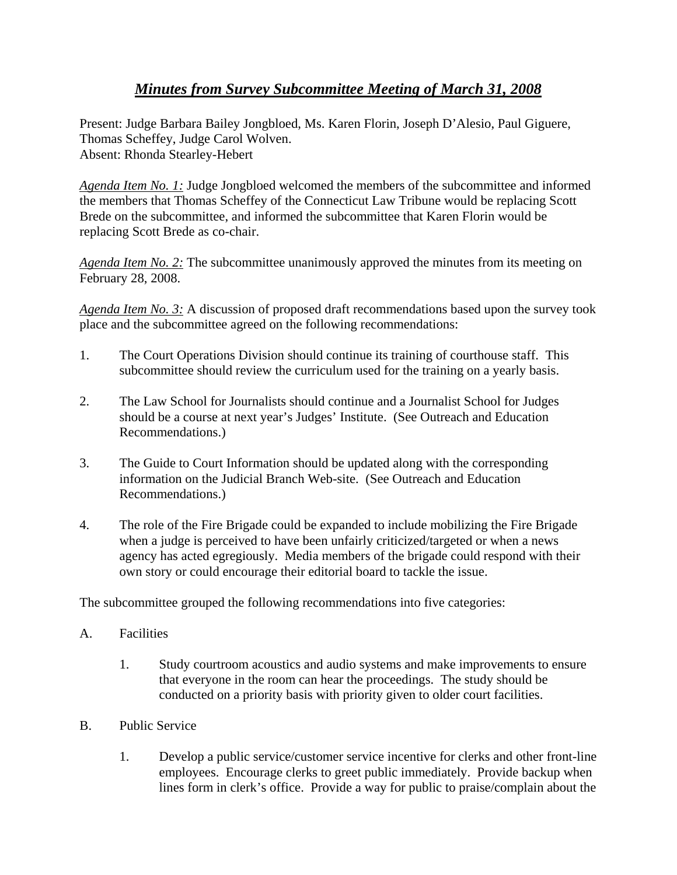## *Minutes from Survey Subcommittee Meeting of March 31, 2008*

Present: Judge Barbara Bailey Jongbloed, Ms. Karen Florin, Joseph D'Alesio, Paul Giguere, Thomas Scheffey, Judge Carol Wolven. Absent: Rhonda Stearley-Hebert

*Agenda Item No. 1:* Judge Jongbloed welcomed the members of the subcommittee and informed the members that Thomas Scheffey of the Connecticut Law Tribune would be replacing Scott Brede on the subcommittee, and informed the subcommittee that Karen Florin would be replacing Scott Brede as co-chair.

*Agenda Item No. 2:* The subcommittee unanimously approved the minutes from its meeting on February 28, 2008.

*Agenda Item No. 3:* A discussion of proposed draft recommendations based upon the survey took place and the subcommittee agreed on the following recommendations:

- 1. The Court Operations Division should continue its training of courthouse staff. This subcommittee should review the curriculum used for the training on a yearly basis.
- 2. The Law School for Journalists should continue and a Journalist School for Judges should be a course at next year's Judges' Institute. (See Outreach and Education Recommendations.)
- 3. The Guide to Court Information should be updated along with the corresponding information on the Judicial Branch Web-site. (See Outreach and Education Recommendations.)
- 4. The role of the Fire Brigade could be expanded to include mobilizing the Fire Brigade when a judge is perceived to have been unfairly criticized/targeted or when a news agency has acted egregiously. Media members of the brigade could respond with their own story or could encourage their editorial board to tackle the issue.

The subcommittee grouped the following recommendations into five categories:

- A. Facilities
	- 1. Study courtroom acoustics and audio systems and make improvements to ensure that everyone in the room can hear the proceedings. The study should be conducted on a priority basis with priority given to older court facilities.
- B. Public Service
	- 1. Develop a public service/customer service incentive for clerks and other front-line employees. Encourage clerks to greet public immediately. Provide backup when lines form in clerk's office. Provide a way for public to praise/complain about the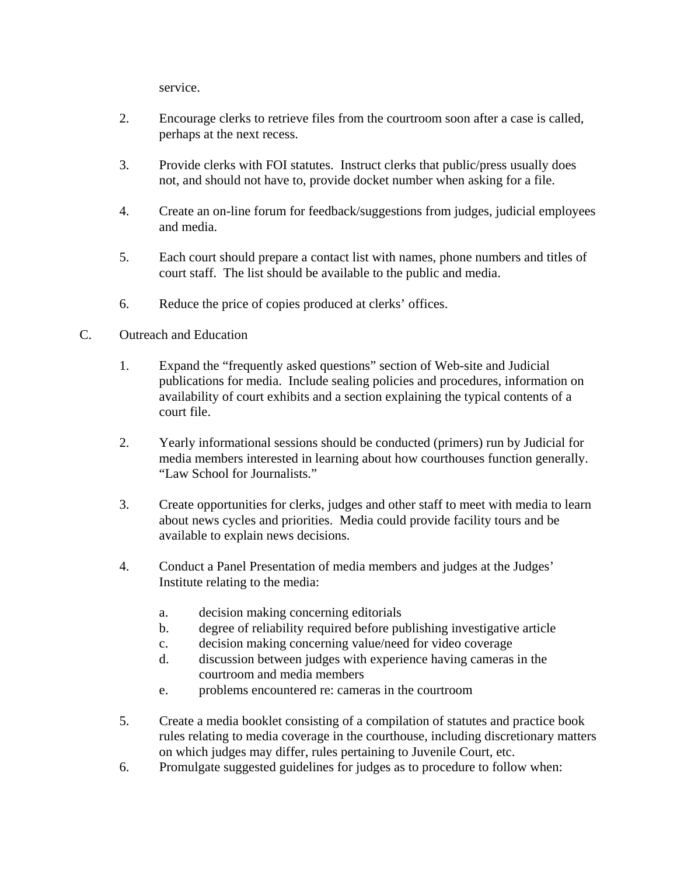service.

- 2. Encourage clerks to retrieve files from the courtroom soon after a case is called, perhaps at the next recess.
- 3. Provide clerks with FOI statutes. Instruct clerks that public/press usually does not, and should not have to, provide docket number when asking for a file.
- 4. Create an on-line forum for feedback/suggestions from judges, judicial employees and media.
- 5. Each court should prepare a contact list with names, phone numbers and titles of court staff. The list should be available to the public and media.
- 6. Reduce the price of copies produced at clerks' offices.
- C. Outreach and Education
	- 1. Expand the "frequently asked questions" section of Web-site and Judicial publications for media. Include sealing policies and procedures, information on availability of court exhibits and a section explaining the typical contents of a court file.
	- 2. Yearly informational sessions should be conducted (primers) run by Judicial for media members interested in learning about how courthouses function generally. "Law School for Journalists."
	- 3. Create opportunities for clerks, judges and other staff to meet with media to learn about news cycles and priorities. Media could provide facility tours and be available to explain news decisions.
	- 4. Conduct a Panel Presentation of media members and judges at the Judges' Institute relating to the media:
		- a. decision making concerning editorials
		- b. degree of reliability required before publishing investigative article
		- c. decision making concerning value/need for video coverage
		- d. discussion between judges with experience having cameras in the courtroom and media members
		- e. problems encountered re: cameras in the courtroom
	- 5. Create a media booklet consisting of a compilation of statutes and practice book rules relating to media coverage in the courthouse, including discretionary matters on which judges may differ, rules pertaining to Juvenile Court, etc.
	- 6. Promulgate suggested guidelines for judges as to procedure to follow when: